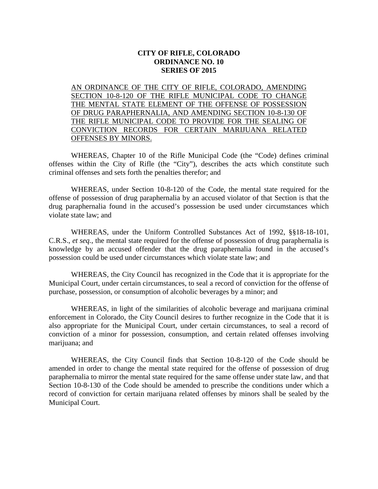## **CITY OF RIFLE, COLORADO ORDINANCE NO. 10 SERIES OF 2015**

AN ORDINANCE OF THE CITY OF RIFLE, COLORADO, AMENDING SECTION 10-8-120 OF THE RIFLE MUNICIPAL CODE TO CHANGE THE MENTAL STATE ELEMENT OF THE OFFENSE OF POSSESSION OF DRUG PARAPHERNALIA, AND AMENDING SECTION 10-8-130 OF THE RIFLE MUNICIPAL CODE TO PROVIDE FOR THE SEALING OF CONVICTION RECORDS FOR CERTAIN MARIJUANA RELATED OFFENSES BY MINORS.

WHEREAS, Chapter 10 of the Rifle Municipal Code (the "Code) defines criminal offenses within the City of Rifle (the "City"), describes the acts which constitute such criminal offenses and sets forth the penalties therefor; and

WHEREAS, under Section 10-8-120 of the Code, the mental state required for the offense of possession of drug paraphernalia by an accused violator of that Section is that the drug paraphernalia found in the accused's possession be used under circumstances which violate state law; and

WHEREAS, under the Uniform Controlled Substances Act of 1992, §§18-18-101, C.R.S., *et seq.*, the mental state required for the offense of possession of drug paraphernalia is knowledge by an accused offender that the drug paraphernalia found in the accused's possession could be used under circumstances which violate state law; and

WHEREAS, the City Council has recognized in the Code that it is appropriate for the Municipal Court, under certain circumstances, to seal a record of conviction for the offense of purchase, possession, or consumption of alcoholic beverages by a minor; and

WHEREAS, in light of the similarities of alcoholic beverage and marijuana criminal enforcement in Colorado, the City Council desires to further recognize in the Code that it is also appropriate for the Municipal Court, under certain circumstances, to seal a record of conviction of a minor for possession, consumption, and certain related offenses involving marijuana; and

WHEREAS, the City Council finds that Section 10-8-120 of the Code should be amended in order to change the mental state required for the offense of possession of drug paraphernalia to mirror the mental state required for the same offense under state law, and that Section 10-8-130 of the Code should be amended to prescribe the conditions under which a record of conviction for certain marijuana related offenses by minors shall be sealed by the Municipal Court.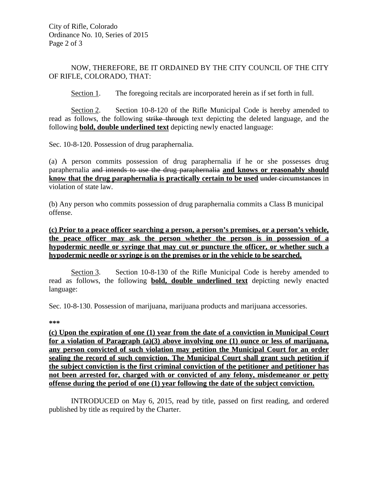## NOW, THEREFORE, BE IT ORDAINED BY THE CITY COUNCIL OF THE CITY OF RIFLE, COLORADO, THAT:

Section 1. The foregoing recitals are incorporated herein as if set forth in full.

Section 2. Section 10-8-120 of the Rifle Municipal Code is hereby amended to read as follows, the following strike through text depicting the deleted language, and the following **bold, double underlined text** depicting newly enacted language:

Sec. 10-8-120. Possession of drug paraphernalia.

(a) A person commits possession of drug paraphernalia if he or she possesses drug paraphernalia and intends to use the drug paraphernalia **and knows or reasonably should know that the drug paraphernalia is practically certain to be used** under circumstances in violation of state law.

(b) Any person who commits possession of drug paraphernalia commits a Class B municipal offense.

**(c) Prior to a peace officer searching a person, a person's premises, or a person's vehicle, the peace officer may ask the person whether the person is in possession of a hypodermic needle or syringe that may cut or puncture the officer, or whether such a hypodermic needle or syringe is on the premises or in the vehicle to be searched.** 

Section 3. Section 10-8-130 of the Rifle Municipal Code is hereby amended to read as follows, the following **bold, double underlined text** depicting newly enacted language:

Sec. 10-8-130. Possession of marijuana, marijuana products and marijuana accessories.

**\*\*\***

**(c) Upon the expiration of one (1) year from the date of a conviction in Municipal Court for a violation of Paragraph (a)(3) above involving one (1) ounce or less of marijuana, any person convicted of such violation may petition the Municipal Court for an order sealing the record of such conviction. The Municipal Court shall grant such petition if the subject conviction is the first criminal conviction of the petitioner and petitioner has not been arrested for, charged with or convicted of any felony, misdemeanor or petty offense during the period of one (1) year following the date of the subject conviction.**

INTRODUCED on May 6, 2015, read by title, passed on first reading, and ordered published by title as required by the Charter.